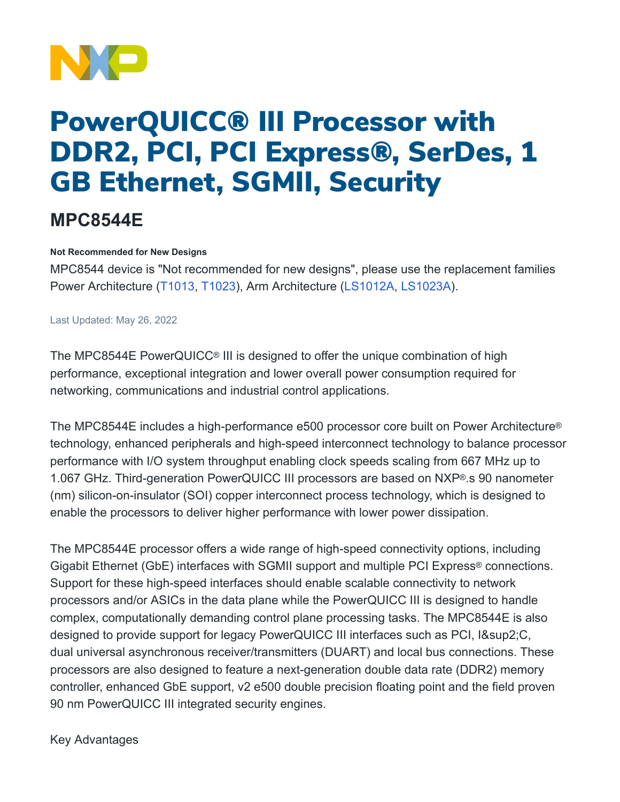

# PowerQUICC® III Processor with DDR2, PCI, PCI Express®, SerDes, 1 GB Ethernet, SGMII, Security

## **MPC8544E**

#### **Not Recommended for New Designs**

MPC8544 device is "Not recommended for new designs", please use the replacement families Power Architecture [\(T1013](https://www.nxp.com/products/processors-and-microcontrollers/power-architecture/qoriq-communication-processors/t-series/qoriq-t1024-14-and-t1023-13-dual-and-single-core-communications-processors:T1024), [T1023\)](https://www.nxp.com/products/processors-and-microcontrollers/power-architecture/qoriq-communication-processors/t-series/qoriq-t1024-14-and-t1023-13-dual-and-single-core-communications-processors:T1024), Arm Architecture [\(LS1012A](https://www.nxp.com/products/processors-and-microcontrollers/arm-processors/layerscape-processors/layerscape-1012a-low-power-processor:LS1012A), [LS1023A](https://www.nxp.com/products/processors-and-microcontrollers/arm-processors/layerscape-processors/layerscape-1043a-and-1023a-processors:LS1043A)).

Last Updated: May 26, 2022

The MPC8544E PowerQUICC® III is designed to offer the unique combination of high performance, exceptional integration and lower overall power consumption required for networking, communications and industrial control applications.

The MPC8544E includes a high-performance e500 processor core built on Power Architecture® technology, enhanced peripherals and high-speed interconnect technology to balance processor performance with I/O system throughput enabling clock speeds scaling from 667 MHz up to 1.067 GHz. Third-generation PowerQUICC III processors are based on NXP®.s 90 nanometer (nm) silicon-on-insulator (SOI) copper interconnect process technology, which is designed to enable the processors to deliver higher performance with lower power dissipation.

The MPC8544E processor offers a wide range of high-speed connectivity options, including Gigabit Ethernet (GbE) interfaces with SGMII support and multiple PCI Express® connections. Support for these high-speed interfaces should enable scalable connectivity to network processors and/or ASICs in the data plane while the PowerQUICC III is designed to handle complex, computationally demanding control plane processing tasks. The MPC8544E is also designed to provide support for legacy PowerQUICC III interfaces such as PCI, I²C, dual universal asynchronous receiver/transmitters (DUART) and local bus connections. These processors are also designed to feature a next-generation double data rate (DDR2) memory controller, enhanced GbE support, v2 e500 double precision floating point and the field proven 90 nm PowerQUICC III integrated security engines.

Key Advantages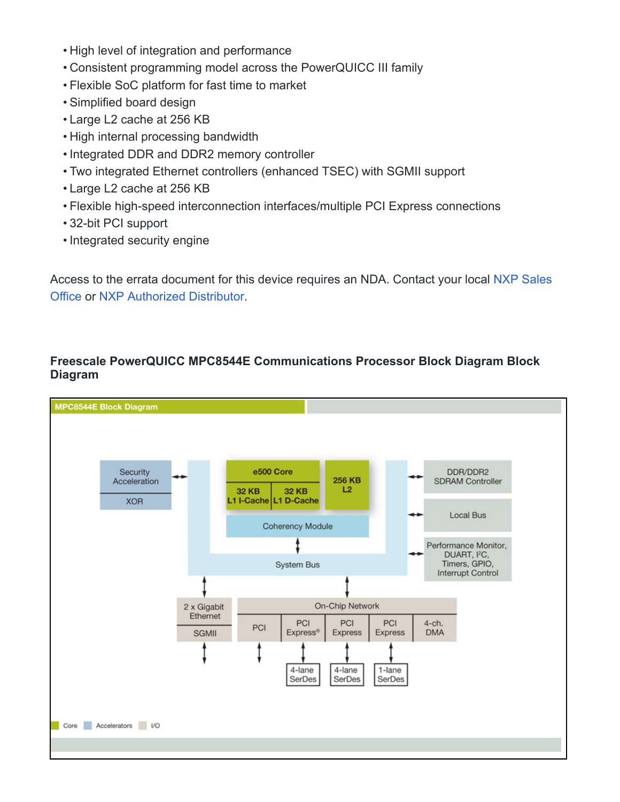- High level of integration and performance
- Consistent programming model across the PowerQUICC III family
- Flexible SoC platform for fast time to market
- Simplified board design
- Large L2 cache at 256 KB
- High internal processing bandwidth
- Integrated DDR and DDR2 memory controller
- Two integrated Ethernet controllers (enhanced TSEC) with SGMII support
- Large L2 cache at 256 KB
- Flexible high-speed interconnection interfaces/multiple PCI Express connections
- 32-bit PCI support
- Integrated security engine

Access to the errata document for this device requires an NDA. Contact your local [NXP Sales](https://www.nxp.com/support/support:SUPPORTHOME) [Office](https://www.nxp.com/support/support:SUPPORTHOME) or [NXP Authorized Distributor](https://www.nxp.com/support/sample-and-buy/distributor-network:DISTRIBUTORS).

### **Freescale PowerQUICC MPC8544E Communications Processor Block Diagram Block Diagram**